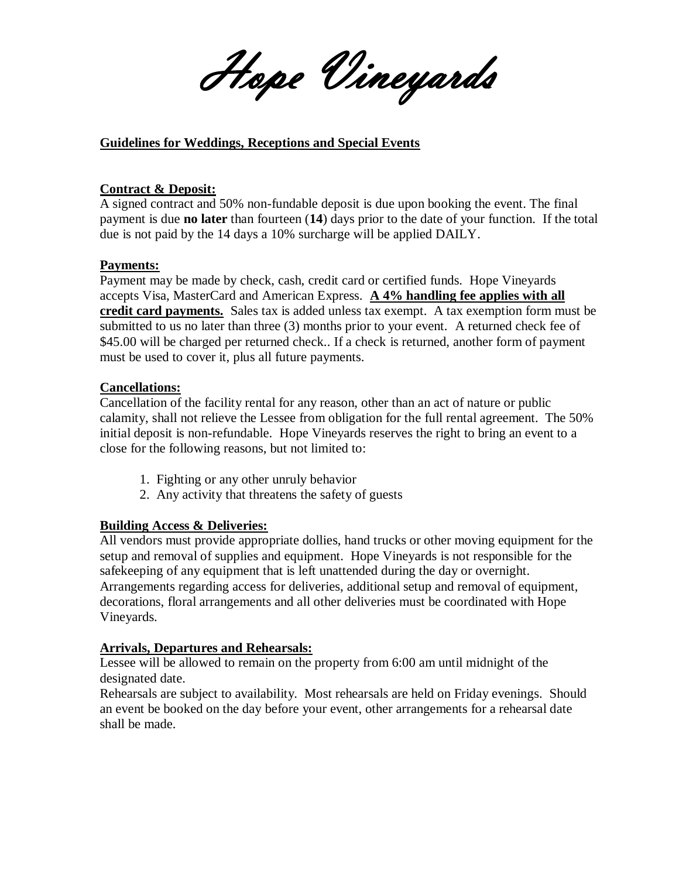Hope Vineyards

#### **Guidelines for Weddings, Receptions and Special Events**

#### **Contract & Deposit:**

A signed contract and 50% non-fundable deposit is due upon booking the event. The final payment is due **no later** than fourteen (**14**) days prior to the date of your function. If the total due is not paid by the 14 days a 10% surcharge will be applied DAILY.

#### **Payments:**

Payment may be made by check, cash, credit card or certified funds. Hope Vineyards accepts Visa, MasterCard and American Express. **A 4% handling fee applies with all credit card payments.** Sales tax is added unless tax exempt. A tax exemption form must be submitted to us no later than three (3) months prior to your event. A returned check fee of \$45.00 will be charged per returned check.. If a check is returned, another form of payment must be used to cover it, plus all future payments.

#### **Cancellations:**

Cancellation of the facility rental for any reason, other than an act of nature or public calamity, shall not relieve the Lessee from obligation for the full rental agreement. The 50% initial deposit is non-refundable. Hope Vineyards reserves the right to bring an event to a close for the following reasons, but not limited to:

- 1. Fighting or any other unruly behavior
- 2. Any activity that threatens the safety of guests

#### **Building Access & Deliveries:**

All vendors must provide appropriate dollies, hand trucks or other moving equipment for the setup and removal of supplies and equipment. Hope Vineyards is not responsible for the safekeeping of any equipment that is left unattended during the day or overnight. Arrangements regarding access for deliveries, additional setup and removal of equipment, decorations, floral arrangements and all other deliveries must be coordinated with Hope Vineyards.

#### **Arrivals, Departures and Rehearsals:**

Lessee will be allowed to remain on the property from 6:00 am until midnight of the designated date.

Rehearsals are subject to availability. Most rehearsals are held on Friday evenings. Should an event be booked on the day before your event, other arrangements for a rehearsal date shall be made.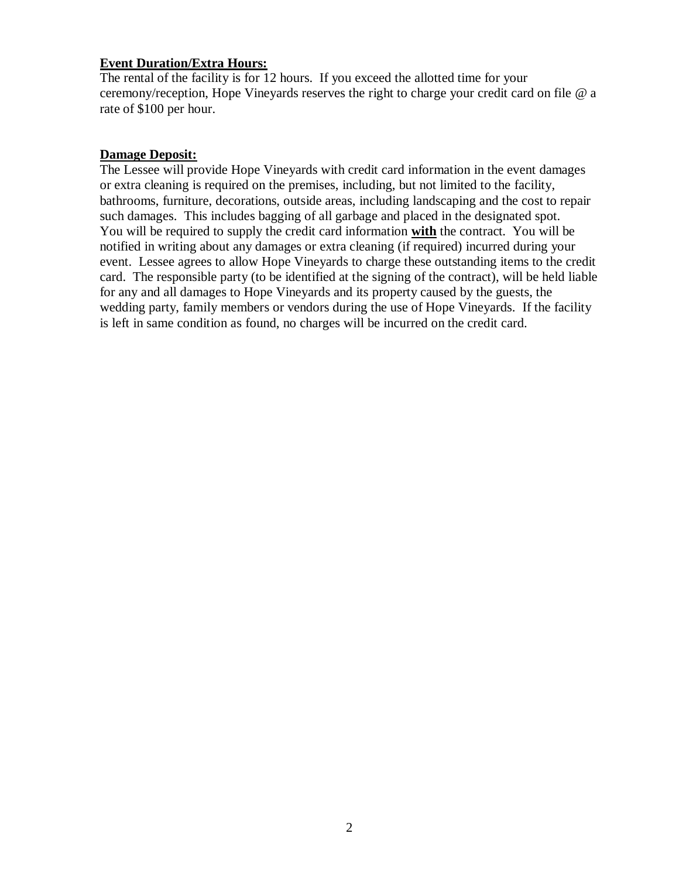#### **Event Duration/Extra Hours:**

The rental of the facility is for 12 hours. If you exceed the allotted time for your ceremony/reception, Hope Vineyards reserves the right to charge your credit card on file @ a rate of \$100 per hour.

#### **Damage Deposit:**

The Lessee will provide Hope Vineyards with credit card information in the event damages or extra cleaning is required on the premises, including, but not limited to the facility, bathrooms, furniture, decorations, outside areas, including landscaping and the cost to repair such damages. This includes bagging of all garbage and placed in the designated spot. You will be required to supply the credit card information **with** the contract. You will be notified in writing about any damages or extra cleaning (if required) incurred during your event. Lessee agrees to allow Hope Vineyards to charge these outstanding items to the credit card. The responsible party (to be identified at the signing of the contract), will be held liable for any and all damages to Hope Vineyards and its property caused by the guests, the wedding party, family members or vendors during the use of Hope Vineyards. If the facility is left in same condition as found, no charges will be incurred on the credit card.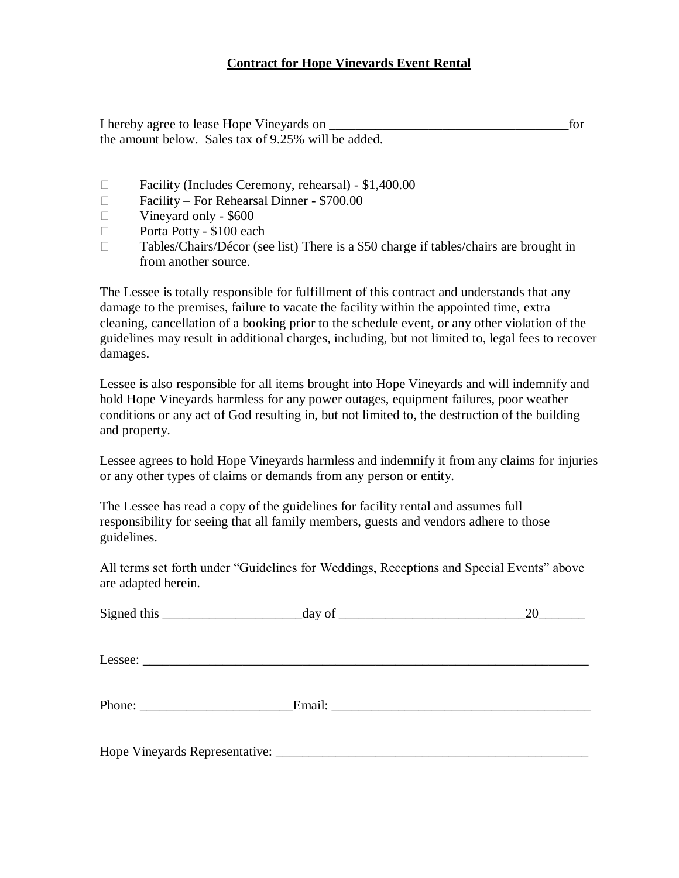#### **Contract for Hope Vineyards Event Rental**

I hereby agree to lease Hope Vineyards on \_\_\_\_\_\_\_\_\_\_\_\_\_\_\_\_\_\_\_\_\_\_\_\_\_\_\_\_\_\_\_\_\_\_\_\_for the amount below. Sales tax of 9.25% will be added.

- Facility (Includes Ceremony, rehearsal) \$1,400.00
- Facility For Rehearsal Dinner \$700.00
- $\Box$  Vineyard only \$600
- D Porta Potty \$100 each
- □ Tables/Chairs/Décor (see list) There is a \$50 charge if tables/chairs are brought in from another source.

The Lessee is totally responsible for fulfillment of this contract and understands that any damage to the premises, failure to vacate the facility within the appointed time, extra cleaning, cancellation of a booking prior to the schedule event, or any other violation of the guidelines may result in additional charges, including, but not limited to, legal fees to recover damages.

Lessee is also responsible for all items brought into Hope Vineyards and will indemnify and hold Hope Vineyards harmless for any power outages, equipment failures, poor weather conditions or any act of God resulting in, but not limited to, the destruction of the building and property.

Lessee agrees to hold Hope Vineyards harmless and indemnify it from any claims for injuries or any other types of claims or demands from any person or entity.

The Lessee has read a copy of the guidelines for facility rental and assumes full responsibility for seeing that all family members, guests and vendors adhere to those guidelines.

All terms set forth under "Guidelines for Weddings, Receptions and Special Events" above are adapted herein.

| Signed this $\_\_\_\_\_\_\_$ day of $\_\_\_\_\_\_\_\_\_$ | 20 |
|----------------------------------------------------------|----|
|                                                          |    |
| Phone: Email:                                            |    |
|                                                          |    |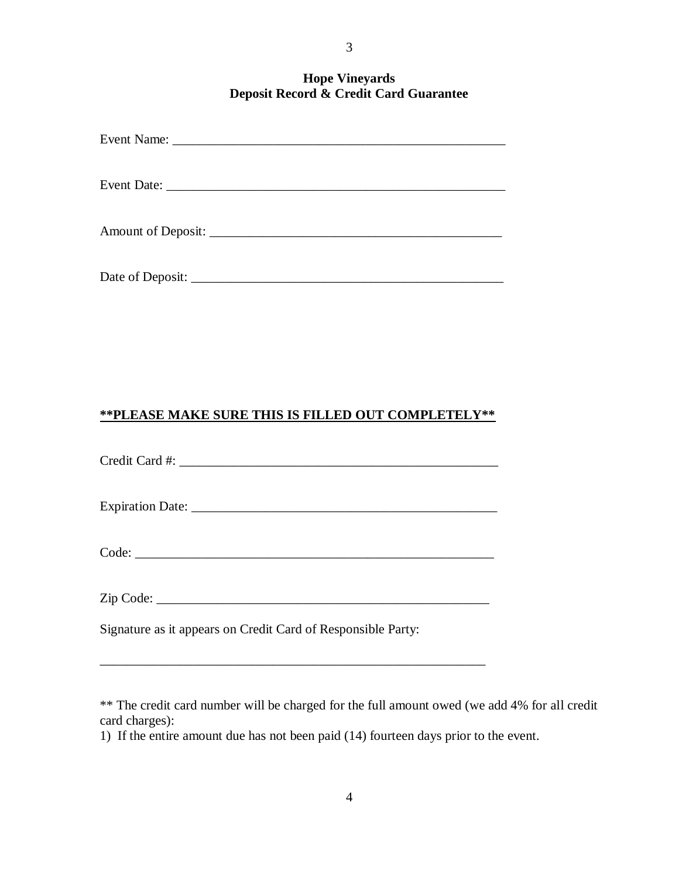#### **Hope Vineyards Deposit Record & Credit Card Guarantee**

## **\*\*PLEASE MAKE SURE THIS IS FILLED OUT COMPLETELY\*\***

| Signature as it appears on Credit Card of Responsible Party: |  |  |
|--------------------------------------------------------------|--|--|

\_\_\_\_\_\_\_\_\_\_\_\_\_\_\_\_\_\_\_\_\_\_\_\_\_\_\_\_\_\_\_\_\_\_\_\_\_\_\_\_\_\_\_\_\_\_\_\_\_\_\_\_\_\_\_\_\_\_

\*\* The credit card number will be charged for the full amount owed (we add 4% for all credit card charges):

1) If the entire amount due has not been paid (14) fourteen days prior to the event.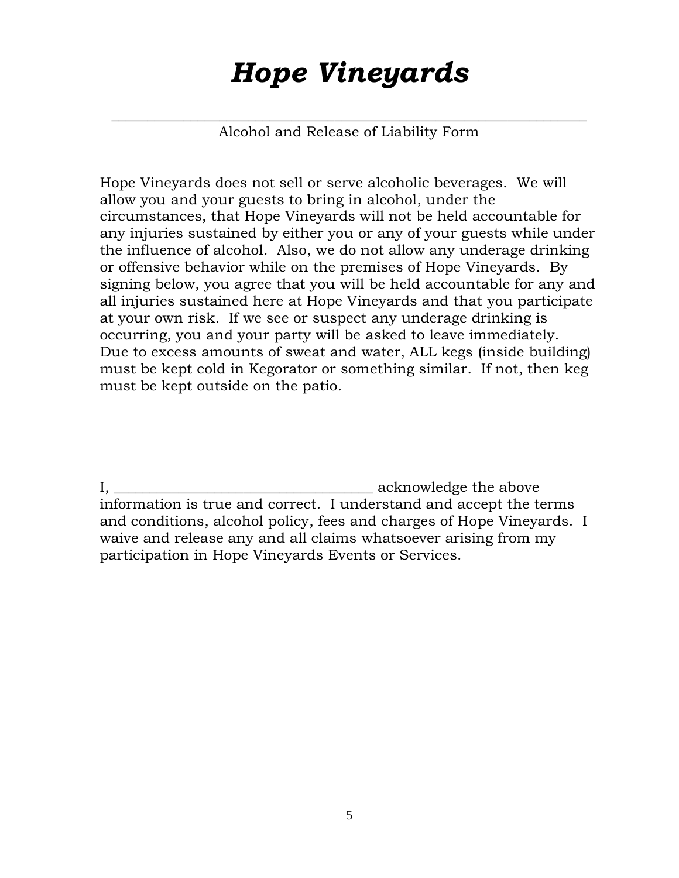# *Hope Vineyards*

*\_\_\_\_\_\_\_\_\_\_\_\_\_\_\_\_\_\_\_\_\_\_\_\_\_\_\_\_\_\_\_\_\_\_\_\_\_\_\_\_\_\_\_\_\_\_\_\_\_\_\_\_\_\_\_\_\_\_\_\_\_\_\_\_\_\_* Alcohol and Release of Liability Form

Hope Vineyards does not sell or serve alcoholic beverages. We will allow you and your guests to bring in alcohol, under the circumstances, that Hope Vineyards will not be held accountable for any injuries sustained by either you or any of your guests while under the influence of alcohol. Also, we do not allow any underage drinking or offensive behavior while on the premises of Hope Vineyards. By signing below, you agree that you will be held accountable for any and all injuries sustained here at Hope Vineyards and that you participate at your own risk. If we see or suspect any underage drinking is occurring, you and your party will be asked to leave immediately. Due to excess amounts of sweat and water, ALL kegs (inside building) must be kept cold in Kegorator or something similar. If not, then keg must be kept outside on the patio.

I, \_\_\_\_\_\_\_\_\_\_\_\_\_\_\_\_\_\_\_\_\_\_\_\_\_\_\_\_\_\_\_\_\_\_\_\_ acknowledge the above information is true and correct. I understand and accept the terms and conditions, alcohol policy, fees and charges of Hope Vineyards. I waive and release any and all claims whatsoever arising from my participation in Hope Vineyards Events or Services.